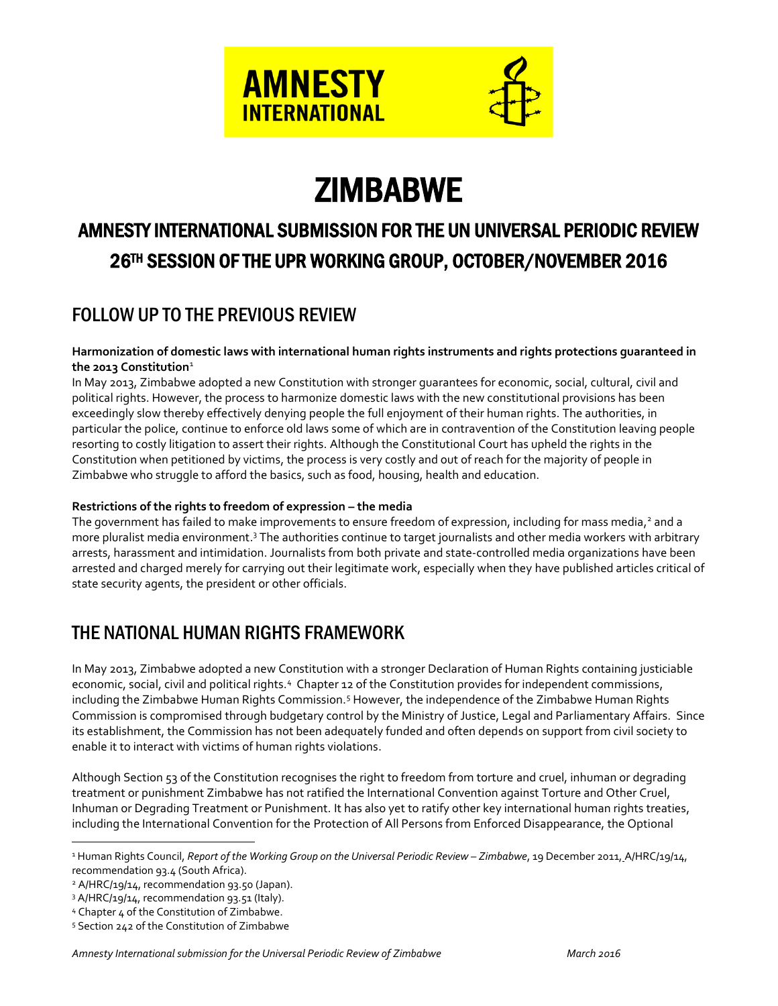

# **ZIMBABWE**

# AMNESTY INTERNATIONAL SUBMISSION FOR THE UN UNIVERSAL PERIODIC REVIEW 26TH SESSION OF THE UPR WORKING GROUP, OCTOBER/NOVEMBER 2016

# FOLLOW UP TO THE PREVIOUS REVIEW

#### **Harmonization of domestic laws with international human rights instruments and rights protections guaranteed in the 2013 Constitution**<sup>1</sup>

In May 2013, Zimbabwe adopted a new Constitution with stronger guarantees for economic, social, cultural, civil and political rights. However, the process to harmonize domestic laws with the new constitutional provisions has been exceedingly slow thereby effectively denying people the full enjoyment of their human rights. The authorities, in particular the police, continue to enforce old laws some of which are in contravention of the Constitution leaving people resorting to costly litigation to assert their rights. Although the Constitutional Court has upheld the rights in the Constitution when petitioned by victims, the process is very costly and out of reach for the majority of people in Zimbabwe who struggle to afford the basics, such as food, housing, health and education.

#### **Restrictions of the rights to freedom of expression – the media**

The government has failed to make improvements to ensure freedom of expression, including for mass media,<sup>2</sup> and a more pluralist media environment.<sup>3</sup> The authorities continue to target journalists and other media workers with arbitrary arrests, harassment and intimidation. Journalists from both private and state-controlled media organizations have been arrested and charged merely for carrying out their legitimate work, especially when they have published articles critical of state security agents, the president or other officials.

# THE NATIONAL HUMAN RIGHTS FRAMEWORK

In May 2013, Zimbabwe adopted a new Constitution with a stronger Declaration of Human Rights containing justiciable economic, social, civil and political rights.<sup>4</sup> Chapter 12 of the Constitution provides for independent commissions, including the Zimbabwe Human Rights Commission.<sup>5</sup> However, the independence of the Zimbabwe Human Rights Commission is compromised through budgetary control by the Ministry of Justice, Legal and Parliamentary Affairs. Since its establishment, the Commission has not been adequately funded and often depends on support from civil society to enable it to interact with victims of human rights violations.

Although Section 53 of the Constitution recognises the right to freedom from torture and cruel, inhuman or degrading treatment or punishment Zimbabwe has not ratified the International Convention against Torture and Other Cruel, Inhuman or Degrading Treatment or Punishment. It has also yet to ratify other key international human rights treaties, including the International Convention for the Protection of All Persons from Enforced Disappearance, the Optional

 $\overline{a}$ 

<sup>&</sup>lt;sup>1</sup> Human Rights Council, *Report of the Working Group on the Universal Periodic Review - Zimbabwe*, 19 December 2011, A/HRC/19/14, recommendation 93.4 (South Africa).

<sup>2</sup> A/HRC/19/14, recommendation 93.50 (Japan).

<sup>3</sup> A/HRC/19/14, recommendation 93.51 (Italy).

<sup>4</sup> Chapter 4 of the Constitution of Zimbabwe.

<sup>5</sup> Section 242 of the Constitution of Zimbabwe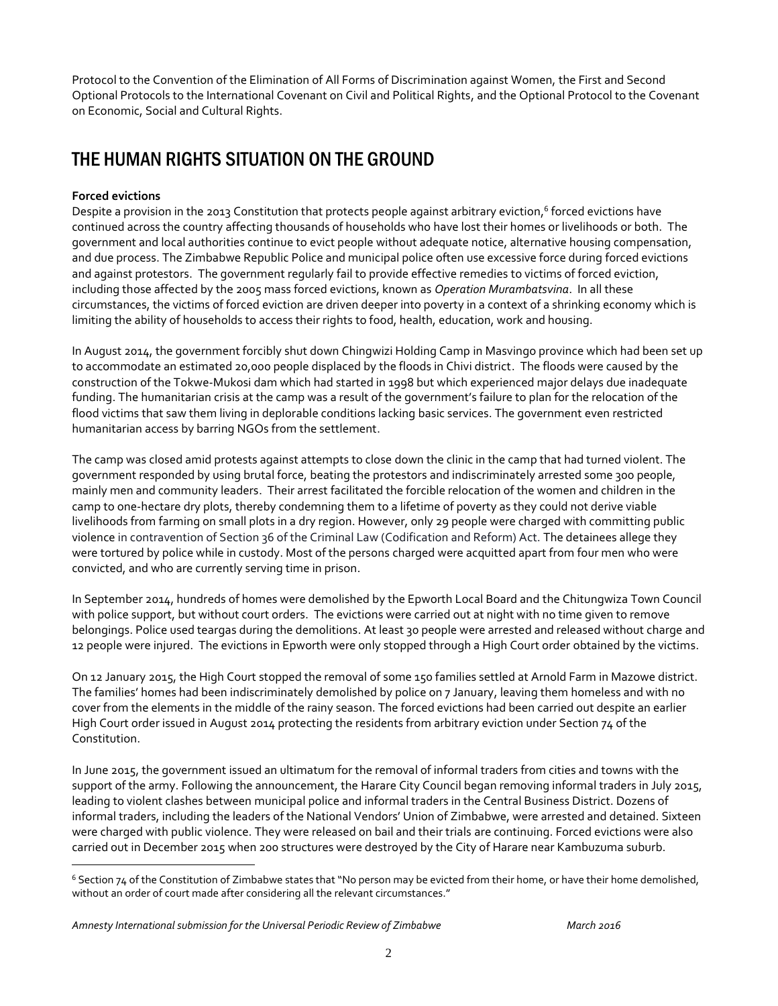Protocol to the Convention of the Elimination of All Forms of Discrimination against Women, the First and Second Optional Protocols to the International Covenant on Civil and Political Rights, and the Optional Protocol to the Covenant on Economic, Social and Cultural Rights.

## THE HUMAN RIGHTS SITUATION ON THE GROUND

#### **Forced evictions**

 $\overline{a}$ 

Despite a provision in the 2013 Constitution that protects people against arbitrary eviction,<sup>6</sup> forced evictions have continued across the country affecting thousands of households who have lost their homes or livelihoods or both. The government and local authorities continue to evict people without adequate notice, alternative housing compensation, and due process. The Zimbabwe Republic Police and municipal police often use excessive force during forced evictions and against protestors. The government regularly fail to provide effective remedies to victims of forced eviction, including those affected by the 2005 mass forced evictions, known as *Operation Murambatsvina*. In all these circumstances, the victims of forced eviction are driven deeper into poverty in a context of a shrinking economy which is limiting the ability of households to access their rights to food, health, education, work and housing.

In August 2014, the government forcibly shut down Chingwizi Holding Camp in Masvingo province which had been set up to accommodate an estimated 20,000 people displaced by the floods in Chivi district. The floods were caused by the construction of the Tokwe-Mukosi dam which had started in 1998 but which experienced major delays due inadequate funding. The humanitarian crisis at the camp was a result of the government's failure to plan for the relocation of the flood victims that saw them living in deplorable conditions lacking basic services. The government even restricted humanitarian access by barring NGOs from the settlement.

The camp was closed amid protests against attempts to close down the clinic in the camp that had turned violent. The government responded by using brutal force, beating the protestors and indiscriminately arrested some 300 people, mainly men and community leaders. Their arrest facilitated the forcible relocation of the women and children in the camp to one-hectare dry plots, thereby condemning them to a lifetime of poverty as they could not derive viable livelihoods from farming on small plots in a dry region. However, only 29 people were charged with committing public violence in contravention of Section 36 of the Criminal Law (Codification and Reform) Act. The detainees allege they were tortured by police while in custody. Most of the persons charged were acquitted apart from four men who were convicted, and who are currently serving time in prison.

In September 2014, hundreds of homes were demolished by the Epworth Local Board and the Chitungwiza Town Council with police support, but without court orders. The evictions were carried out at night with no time given to remove belongings. Police used teargas during the demolitions. At least 30 people were arrested and released without charge and 12 people were injured. The evictions in Epworth were only stopped through a High Court order obtained by the victims.

On 12 January 2015, the High Court stopped the removal of some 150 families settled at Arnold Farm in Mazowe district. The families' homes had been indiscriminately demolished by police on 7 January, leaving them homeless and with no cover from the elements in the middle of the rainy season. The forced evictions had been carried out despite an earlier High Court order issued in August 2014 protecting the residents from arbitrary eviction under Section 74 of the Constitution.

In June 2015, the government issued an ultimatum for the removal of informal traders from cities and towns with the support of the army. Following the announcement, the Harare City Council began removing informal traders in July 2015, leading to violent clashes between municipal police and informal traders in the Central Business District. Dozens of informal traders, including the leaders of the National Vendors' Union of Zimbabwe, were arrested and detained. Sixteen were charged with public violence. They were released on bail and their trials are continuing. Forced evictions were also carried out in December 2015 when 200 structures were destroyed by the City of Harare near Kambuzuma suburb.

<sup>6</sup> Section 74 of the Constitution of Zimbabwe states that "No person may be evicted from their home, or have their home demolished, without an order of court made after considering all the relevant circumstances."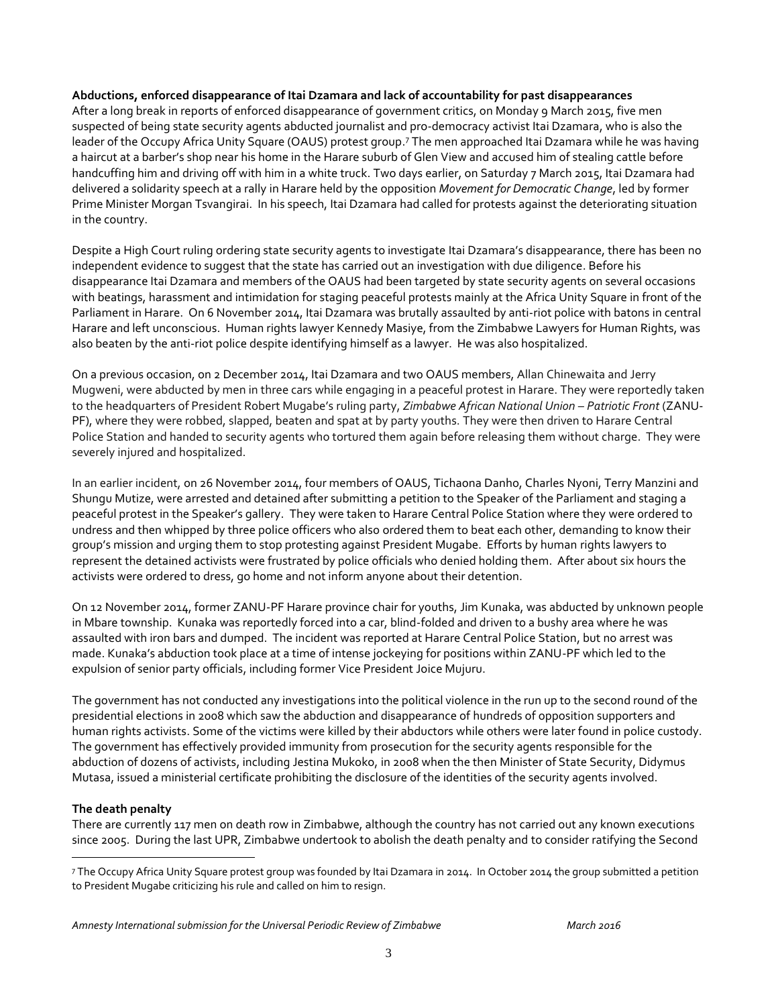#### **Abductions, enforced disappearance of Itai Dzamara and lack of accountability for past disappearances**

After a long break in reports of enforced disappearance of government critics, on Monday 9 March 2015, five men suspected of being state security agents abducted journalist and pro-democracy activist Itai Dzamara, who is also the leader of the Occupy Africa Unity Square (OAUS) protest group. <sup>7</sup> The men approached Itai Dzamara while he was having a haircut at a barber's shop near his home in the Harare suburb of Glen View and accused him of stealing cattle before handcuffing him and driving off with him in a white truck. Two days earlier, on Saturday 7 March 2015, Itai Dzamara had delivered a solidarity speech at a rally in Harare held by the opposition *Movement for Democratic Change*, led by former Prime Minister Morgan Tsvangirai. In his speech, Itai Dzamara had called for protests against the deteriorating situation in the country.

Despite a High Court ruling ordering state security agents to investigate Itai Dzamara's disappearance, there has been no independent evidence to suggest that the state has carried out an investigation with due diligence. Before his disappearance Itai Dzamara and members of the OAUS had been targeted by state security agents on several occasions with beatings, harassment and intimidation for staging peaceful protests mainly at the Africa Unity Square in front of the Parliament in Harare. On 6 November 2014, Itai Dzamara was brutally assaulted by anti-riot police with batons in central Harare and left unconscious. Human rights lawyer Kennedy Masiye, from the Zimbabwe Lawyers for Human Rights, was also beaten by the anti-riot police despite identifying himself as a lawyer. He was also hospitalized.

On a previous occasion, on 2 December 2014, Itai Dzamara and two OAUS members, Allan Chinewaita and Jerry Mugweni, were abducted by men in three cars while engaging in a peaceful protest in Harare. They were reportedly taken to the headquarters of President Robert Mugabe's ruling party, *Zimbabwe African National Union – Patriotic Front* (ZANU-PF), where they were robbed, slapped, beaten and spat at by party youths. They were then driven to Harare Central Police Station and handed to security agents who tortured them again before releasing them without charge. They were severely injured and hospitalized.

In an earlier incident, on 26 November 2014, four members of OAUS, Tichaona Danho, Charles Nyoni, Terry Manzini and Shungu Mutize, were arrested and detained after submitting a petition to the Speaker of the Parliament and staging a peaceful protest in the Speaker's gallery. They were taken to Harare Central Police Station where they were ordered to undress and then whipped by three police officers who also ordered them to beat each other, demanding to know their group's mission and urging them to stop protesting against President Mugabe. Efforts by human rights lawyers to represent the detained activists were frustrated by police officials who denied holding them. After about six hours the activists were ordered to dress, go home and not inform anyone about their detention.

On 12 November 2014, former ZANU-PF Harare province chair for youths, Jim Kunaka, was abducted by unknown people in Mbare township. Kunaka was reportedly forced into a car, blind-folded and driven to a bushy area where he was assaulted with iron bars and dumped. The incident was reported at Harare Central Police Station, but no arrest was made. Kunaka's abduction took place at a time of intense jockeying for positions within ZANU-PF which led to the expulsion of senior party officials, including former Vice President Joice Mujuru.

The government has not conducted any investigations into the political violence in the run up to the second round of the presidential elections in 2008 which saw the abduction and disappearance of hundreds of opposition supporters and human rights activists. Some of the victims were killed by their abductors while others were later found in police custody. The government has effectively provided immunity from prosecution for the security agents responsible for the abduction of dozens of activists, including Jestina Mukoko, in 2008 when the then Minister of State Security, Didymus Mutasa, issued a ministerial certificate prohibiting the disclosure of the identities of the security agents involved.

#### **The death penalty**

 $\overline{a}$ 

There are currently 117 men on death row in Zimbabwe, although the country has not carried out any known executions since 2005. During the last UPR, Zimbabwe undertook to abolish the death penalty and to consider ratifying the Second

<sup>7</sup> The Occupy Africa Unity Square protest group was founded by Itai Dzamara in 2014. In October 2014 the group submitted a petition to President Mugabe criticizing his rule and called on him to resign.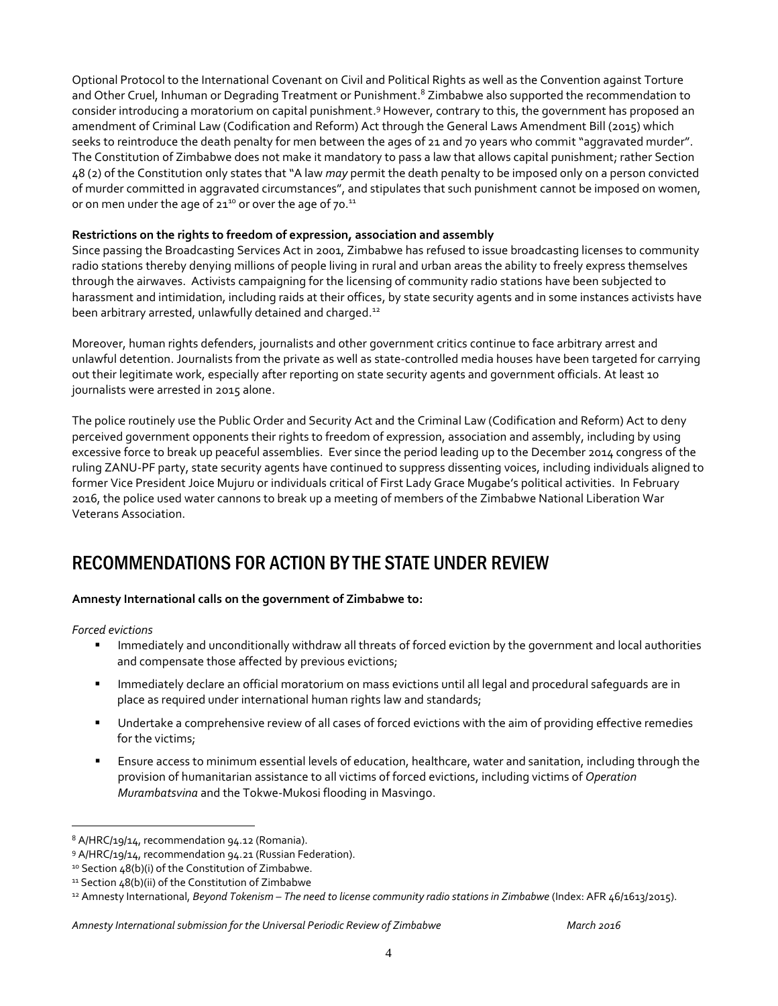Optional Protocol to the International Covenant on Civil and Political Rights as well as the Convention against Torture and Other Cruel, Inhuman or Degrading Treatment or Punishment.<sup>8</sup> Zimbabwe also supported the recommendation to consider introducing a moratorium on capital punishment.<sup>9</sup> However, contrary to this, the government has proposed an amendment of Criminal Law (Codification and Reform) Act through the General Laws Amendment Bill (2015) which seeks to reintroduce the death penalty for men between the ages of 21 and 70 years who commit "aggravated murder". The Constitution of Zimbabwe does not make it mandatory to pass a law that allows capital punishment; rather Section 48 (2) of the Constitution only states that "A law *may* permit the death penalty to be imposed only on a person convicted of murder committed in aggravated circumstances", and stipulates that such punishment cannot be imposed on women, or on men under the age of 21 $^{10}$  or over the age of 70. $^{11}$ 

#### **Restrictions on the rights to freedom of expression, association and assembly**

Since passing the Broadcasting Services Act in 2001, Zimbabwe has refused to issue broadcasting licenses to community radio stations thereby denying millions of people living in rural and urban areas the ability to freely express themselves through the airwaves. Activists campaigning for the licensing of community radio stations have been subjected to harassment and intimidation, including raids at their offices, by state security agents and in some instances activists have been arbitrary arrested, unlawfully detained and charged.<sup>12</sup>

Moreover, human rights defenders, journalists and other government critics continue to face arbitrary arrest and unlawful detention. Journalists from the private as well as state-controlled media houses have been targeted for carrying out their legitimate work, especially after reporting on state security agents and government officials. At least 10 journalists were arrested in 2015 alone.

The police routinely use the Public Order and Security Act and the Criminal Law (Codification and Reform) Act to deny perceived government opponents their rights to freedom of expression, association and assembly, including by using excessive force to break up peaceful assemblies. Ever since the period leading up to the December 2014 congress of the ruling ZANU-PF party, state security agents have continued to suppress dissenting voices, including individuals aligned to former Vice President Joice Mujuru or individuals critical of First Lady Grace Mugabe's political activities. In February 2016, the police used water cannons to break up a meeting of members of the Zimbabwe National Liberation War Veterans Association.

### RECOMMENDATIONS FOR ACTION BY THE STATE UNDER REVIEW

#### **Amnesty International calls on the government of Zimbabwe to:**

*Forced evictions*

 $\overline{a}$ 

- Immediately and unconditionally withdraw all threats of forced eviction by the government and local authorities and compensate those affected by previous evictions;
- **IMMED 19 Immediately declare an official moratorium on mass evictions until all legal and procedural safequards are in** place as required under international human rights law and standards;
- Undertake a comprehensive review of all cases of forced evictions with the aim of providing effective remedies for the victims;
- Ensure access to minimum essential levels of education, healthcare, water and sanitation, including through the provision of humanitarian assistance to all victims of forced evictions, including victims of *Operation Murambatsvina* and the Tokwe-Mukosi flooding in Masvingo.

#### Amnesty International submission for the Universal Periodic Review of Zimbabwe March 2016 March 2016

<sup>8</sup> A/HRC/19/14, recommendation 94.12 (Romania).

<sup>9</sup> A/HRC/19/14, recommendation 94.21 (Russian Federation).

<sup>&</sup>lt;sup>10</sup> Section 48(b)(i) of the Constitution of Zimbabwe.

<sup>&</sup>lt;sup>11</sup> Section 48(b)(ii) of the Constitution of Zimbabwe

<sup>12</sup> Amnesty International, *Beyond Tokenism – The need to license community radio stations in Zimbabwe* (Index: AFR 46/1613/2015).